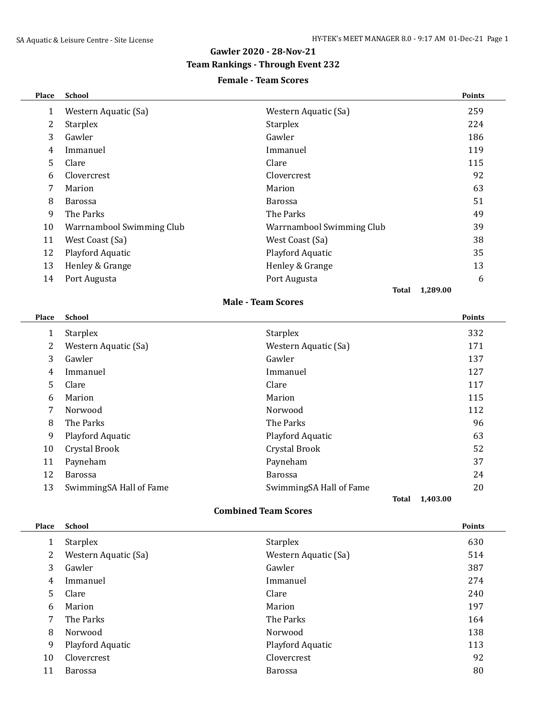# **Gawler 2020 - 28-Nov-21**

### **Team Rankings - Through Event 232**

### **Female - Team Scores**

| Place          | <b>School</b>             |                           |               |
|----------------|---------------------------|---------------------------|---------------|
| $\mathbf{1}$   | Western Aquatic (Sa)      | Western Aquatic (Sa)      | 259           |
| $\overline{c}$ | <b>Starplex</b>           | <b>Starplex</b>           | 224           |
| 3              | Gawler                    | Gawler                    | 186           |
| $\overline{4}$ | Immanuel                  | Immanuel                  | 119           |
| 5              | Clare                     | Clare                     | 115           |
| 6              | Clovercrest               | Clovercrest               | 92            |
| 7              | Marion                    | Marion                    | 63            |
| 8              | Barossa                   | Barossa                   | 51            |
| 9              | The Parks                 | The Parks                 | 49            |
| 10             | Warrnambool Swimming Club | Warrnambool Swimming Club | 39            |
| 11             | West Coast (Sa)           | West Coast (Sa)           | 38            |
| 12             | Playford Aquatic          | Playford Aquatic          | 35            |
| 13             | Henley & Grange           | Henley & Grange           | 13            |
| 14             | Port Augusta              | Port Augusta              | 6             |
|                |                           |                           |               |
|                |                           | Total                     | 1,289.00      |
|                |                           | <b>Male - Team Scores</b> |               |
| Place          | <b>School</b>             |                           | <b>Points</b> |
| $\mathbf{1}$   | <b>Starplex</b>           | <b>Starplex</b>           | 332           |
| 2              | Western Aquatic (Sa)      | Western Aquatic (Sa)      | 171           |
| 3              | Gawler                    | Gawler                    | 137           |
| $\overline{4}$ | Immanuel                  | Immanuel                  | 127           |
| 5              | Clare                     | Clare                     | 117           |
| 6              | Marion                    | Marion                    | 115           |
| 7              | Norwood                   | Norwood                   | 112           |
| 8              | The Parks                 | The Parks                 | 96            |
| 9              | Playford Aquatic          | Playford Aquatic          | 63            |
| 10             | Crystal Brook             | Crystal Brook             | 52            |
| 11             | Payneham                  | Payneham                  | 37            |
| 12             | Barossa                   | Barossa                   | 24            |
| 13             | SwimmingSA Hall of Fame   | SwimmingSA Hall of Fame   | 20            |

#### **Combined Team Scores**

| Place | <b>School</b>        |                      | <b>Points</b> |
|-------|----------------------|----------------------|---------------|
|       | <b>Starplex</b>      | <b>Starplex</b>      | 630           |
| 2     | Western Aquatic (Sa) | Western Aquatic (Sa) | 514           |
| 3     | Gawler               | Gawler               | 387           |
| 4     | Immanuel             | Immanuel             | 274           |
| 5     | Clare                | Clare                | 240           |
| 6     | Marion               | Marion               | 197           |
| 7     | The Parks            | The Parks            | 164           |
| 8     | Norwood              | Norwood              | 138           |
| 9     | Playford Aquatic     | Playford Aquatic     | 113           |
| 10    | Clovercrest          | Clovercrest          | 92            |
| 11    | <b>Barossa</b>       | <b>Barossa</b>       | 80            |